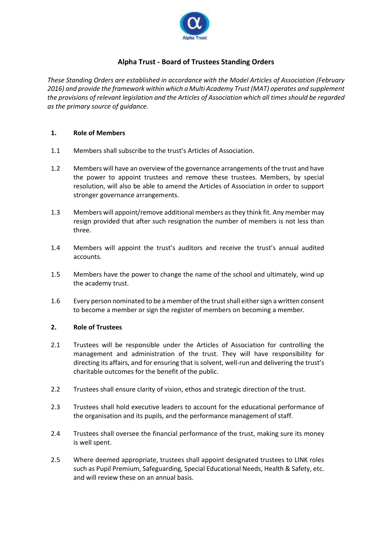

# **Alpha Trust - Board of Trustees Standing Orders**

*These Standing Orders are established in accordance with the Model Articles of Association (February 2016) and provide the framework within which a Multi Academy Trust (MAT) operates and supplement the provisions of relevant legislation and the Articles of Association which all times should be regarded as the primary source of guidance.*

# **1. Role of Members**

- 1.1 Members shall subscribe to the trust's Articles of Association.
- 1.2 Members will have an overview of the governance arrangements of the trust and have the power to appoint trustees and remove these trustees. Members, by special resolution, will also be able to amend the Articles of Association in order to support stronger governance arrangements.
- 1.3 Members will appoint/remove additional members as they think fit. Any member may resign provided that after such resignation the number of members is not less than three.
- 1.4 Members will appoint the trust's auditors and receive the trust's annual audited accounts.
- 1.5 Members have the power to change the name of the school and ultimately, wind up the academy trust.
- 1.6 Every person nominated to be a member of the trust shall either sign a written consent to become a member or sign the register of members on becoming a member.

### **2. Role of Trustees**

- 2.1 Trustees will be responsible under the Articles of Association for controlling the management and administration of the trust. They will have responsibility for directing its affairs, and for ensuring that is solvent, well-run and delivering the trust's charitable outcomes for the benefit of the public.
- 2.2 Trustees shall ensure clarity of vision, ethos and strategic direction of the trust.
- 2.3 Trustees shall hold executive leaders to account for the educational performance of the organisation and its pupils, and the performance management of staff.
- 2.4 Trustees shall oversee the financial performance of the trust, making sure its money is well spent.
- 2.5 Where deemed appropriate, trustees shall appoint designated trustees to LINK roles such as Pupil Premium, Safeguarding, Special Educational Needs, Health & Safety, etc. and will review these on an annual basis.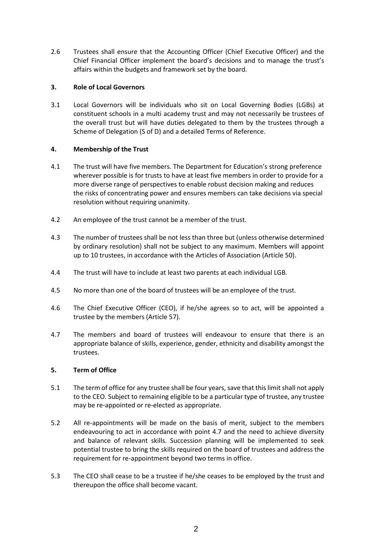2.6 Trustees shall ensure that the Accounting Officer (Chief Executive Officer) and the Chief Financial Officer implement the board's decisions and to manage the trust's affairs within the budgets and framework set by the board.

# **3. Role of Local Governors**

3.1 Local Governors will be individuals who sit on Local Governing Bodies (LGBs) at constituent schools in a multi academy trust and may not necessarily be trustees of the overall trust but will have duties delegated to them by the trustees through a Scheme of Delegation (S of D) and a detailed Terms of Reference.

# **4. Membership of the Trust**

- 4.1 The trust will have five members. The Department for Education's strong preference wherever possible is for trusts to have at least five members in order to provide for a more diverse range of perspectives to enable robust decision making and reduces the risks of concentrating power and ensures members can take decisions via special resolution without requiring unanimity.
- 4.2 An employee of the trust cannot be a member of the trust.
- 4.3 The number of trustees shall be not less than three but (unless otherwise determined by ordinary resolution) shall not be subject to any maximum. Members will appoint up to 10 trustees, in accordance with the Articles of Association (Article 50).
- 4.4 The trust will have to include at least two parents at each individual LGB.
- 4.5 No more than one of the board of trustees will be an employee of the trust.
- 4.6 The Chief Executive Officer (CEO), if he/she agrees so to act, will be appointed a trustee by the members (Article 57).
- 4.7 The members and board of trustees will endeavour to ensure that there is an appropriate balance of skills, experience, gender, ethnicity and disability amongst the trustees.

### **5. Term of Office**

- 5.1 The term of office for any trustee shall be four years, save that this limit shall not apply to the CEO. Subject to remaining eligible to be a particular type of trustee, any trustee may be re-appointed or re-elected as appropriate.
- 5.2 All re-appointments will be made on the basis of merit, subject to the members endeavouring to act in accordance with point 4.7 and the need to achieve diversity and balance of relevant skills. Succession planning will be implemented to seek potential trustee to bring the skills required on the board of trustees and address the requirement for re-appointment beyond two terms in office.
- 5.3 The CEO shall cease to be a trustee if he/she ceases to be employed by the trust and thereupon the office shall become vacant.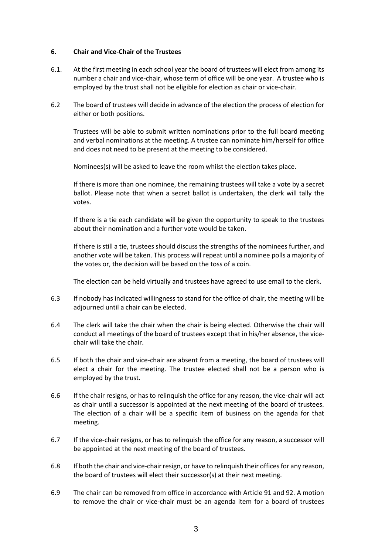#### **6. Chair and Vice-Chair of the Trustees**

- 6.1. At the first meeting in each school year the board of trustees will elect from among its number a chair and vice-chair, whose term of office will be one year. A trustee who is employed by the trust shall not be eligible for election as chair or vice-chair.
- 6.2 The board of trustees will decide in advance of the election the process of election for either or both positions.

Trustees will be able to submit written nominations prior to the full board meeting and verbal nominations at the meeting. A trustee can nominate him/herself for office and does not need to be present at the meeting to be considered.

Nominees(s) will be asked to leave the room whilst the election takes place.

If there is more than one nominee, the remaining trustees will take a vote by a secret ballot. Please note that when a secret ballot is undertaken, the clerk will tally the votes.

If there is a tie each candidate will be given the opportunity to speak to the trustees about their nomination and a further vote would be taken.

If there is still a tie, trustees should discuss the strengths of the nominees further, and another vote will be taken. This process will repeat until a nominee polls a majority of the votes or, the decision will be based on the toss of a coin.

The election can be held virtually and trustees have agreed to use email to the clerk.

- 6.3 If nobody has indicated willingness to stand for the office of chair, the meeting will be adjourned until a chair can be elected.
- 6.4 The clerk will take the chair when the chair is being elected. Otherwise the chair will conduct all meetings of the board of trustees except that in his/her absence, the vicechair will take the chair.
- 6.5 If both the chair and vice-chair are absent from a meeting, the board of trustees will elect a chair for the meeting. The trustee elected shall not be a person who is employed by the trust.
- 6.6 If the chair resigns, or has to relinquish the office for any reason, the vice-chair will act as chair until a successor is appointed at the next meeting of the board of trustees. The election of a chair will be a specific item of business on the agenda for that meeting.
- 6.7 If the vice-chair resigns, or has to relinquish the office for any reason, a successor will be appointed at the next meeting of the board of trustees.
- 6.8 If both the chair and vice-chair resign, or have to relinquish their offices for any reason, the board of trustees will elect their successor(s) at their next meeting.
- 6.9 The chair can be removed from office in accordance with Article 91 and 92. A motion to remove the chair or vice-chair must be an agenda item for a board of trustees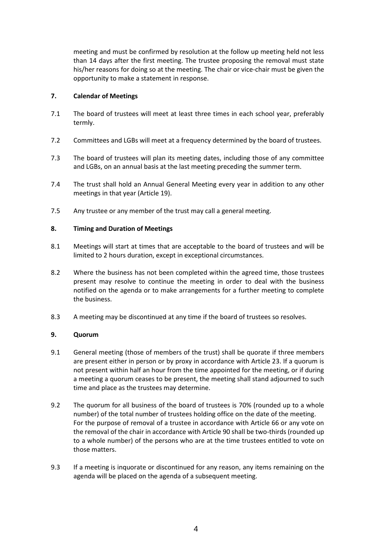meeting and must be confirmed by resolution at the follow up meeting held not less than 14 days after the first meeting. The trustee proposing the removal must state his/her reasons for doing so at the meeting. The chair or vice-chair must be given the opportunity to make a statement in response.

# **7. Calendar of Meetings**

- 7.1 The board of trustees will meet at least three times in each school year, preferably termly.
- 7.2 Committees and LGBs will meet at a frequency determined by the board of trustees.
- 7.3 The board of trustees will plan its meeting dates, including those of any committee and LGBs, on an annual basis at the last meeting preceding the summer term.
- 7.4 The trust shall hold an Annual General Meeting every year in addition to any other meetings in that year (Article 19).
- 7.5 Any trustee or any member of the trust may call a general meeting.

# **8. Timing and Duration of Meetings**

- 8.1 Meetings will start at times that are acceptable to the board of trustees and will be limited to 2 hours duration, except in exceptional circumstances.
- 8.2 Where the business has not been completed within the agreed time, those trustees present may resolve to continue the meeting in order to deal with the business notified on the agenda or to make arrangements for a further meeting to complete the business.
- 8.3 A meeting may be discontinued at any time if the board of trustees so resolves.

### **9. Quorum**

- 9.1 General meeting (those of members of the trust) shall be quorate if three members are present either in person or by proxy in accordance with Article 23. If a quorum is not present within half an hour from the time appointed for the meeting, or if during a meeting a quorum ceases to be present, the meeting shall stand adjourned to such time and place as the trustees may determine.
- 9.2 The quorum for all business of the board of trustees is 70% (rounded up to a whole number) of the total number of trustees holding office on the date of the meeting. For the purpose of removal of a trustee in accordance with Article 66 or any vote on the removal of the chair in accordance with Article 90 shall be two-thirds (rounded up to a whole number) of the persons who are at the time trustees entitled to vote on those matters.
- 9.3 If a meeting is inquorate or discontinued for any reason, any items remaining on the agenda will be placed on the agenda of a subsequent meeting.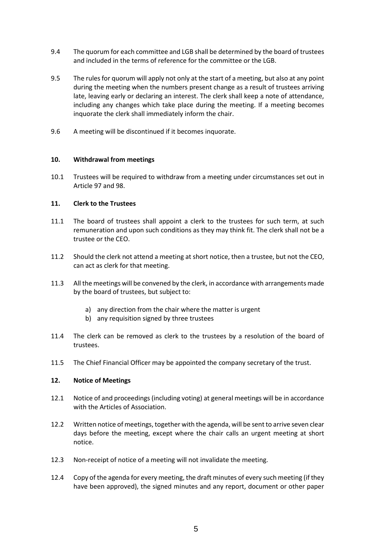- 9.4 The quorum for each committee and LGB shall be determined by the board of trustees and included in the terms of reference for the committee or the LGB.
- 9.5 The rules for quorum will apply not only at the start of a meeting, but also at any point during the meeting when the numbers present change as a result of trustees arriving late, leaving early or declaring an interest. The clerk shall keep a note of attendance, including any changes which take place during the meeting. If a meeting becomes inquorate the clerk shall immediately inform the chair.
- 9.6 A meeting will be discontinued if it becomes inquorate.

# **10. Withdrawal from meetings**

10.1 Trustees will be required to withdraw from a meeting under circumstances set out in Article 97 and 98.

# **11. Clerk to the Trustees**

- 11.1 The board of trustees shall appoint a clerk to the trustees for such term, at such remuneration and upon such conditions as they may think fit. The clerk shall not be a trustee or the CEO.
- 11.2 Should the clerk not attend a meeting at short notice, then a trustee, but not the CEO, can act as clerk for that meeting.
- 11.3 All the meetings will be convened by the clerk, in accordance with arrangements made by the board of trustees, but subject to:
	- a) any direction from the chair where the matter is urgent
	- b) any requisition signed by three trustees
- 11.4 The clerk can be removed as clerk to the trustees by a resolution of the board of trustees.
- 11.5 The Chief Financial Officer may be appointed the company secretary of the trust.

### **12. Notice of Meetings**

- 12.1 Notice of and proceedings (including voting) at general meetings will be in accordance with the Articles of Association.
- 12.2 Written notice of meetings, together with the agenda, will be sent to arrive seven clear days before the meeting, except where the chair calls an urgent meeting at short notice.
- 12.3 Non-receipt of notice of a meeting will not invalidate the meeting.
- 12.4 Copy of the agenda for every meeting, the draft minutes of every such meeting (if they have been approved), the signed minutes and any report, document or other paper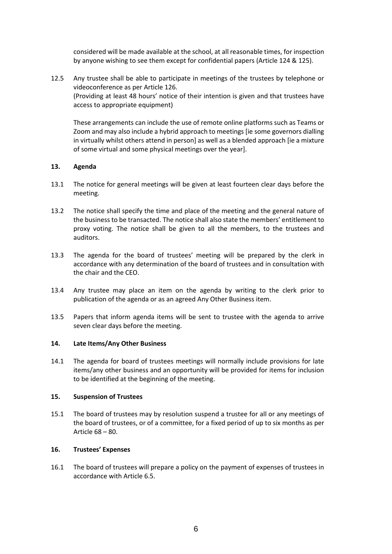considered will be made available at the school, at all reasonable times, for inspection by anyone wishing to see them except for confidential papers (Article 124 & 125).

12.5 Any trustee shall be able to participate in meetings of the trustees by telephone or videoconference as per Article 126. (Providing at least 48 hours' notice of their intention is given and that trustees have access to appropriate equipment)

These arrangements can include the use of remote online platforms such as Teams or Zoom and may also include a hybrid approach to meetings [ie some governors dialling in virtually whilst others attend in person] as well as a blended approach [ie a mixture of some virtual and some physical meetings over the year].

# **13. Agenda**

- 13.1 The notice for general meetings will be given at least fourteen clear days before the meeting.
- 13.2 The notice shall specify the time and place of the meeting and the general nature of the business to be transacted. The notice shall also state the members' entitlement to proxy voting. The notice shall be given to all the members, to the trustees and auditors.
- 13.3 The agenda for the board of trustees' meeting will be prepared by the clerk in accordance with any determination of the board of trustees and in consultation with the chair and the CEO.
- 13.4 Any trustee may place an item on the agenda by writing to the clerk prior to publication of the agenda or as an agreed Any Other Business item.
- 13.5 Papers that inform agenda items will be sent to trustee with the agenda to arrive seven clear days before the meeting.

### **14. Late Items/Any Other Business**

14.1 The agenda for board of trustees meetings will normally include provisions for late items/any other business and an opportunity will be provided for items for inclusion to be identified at the beginning of the meeting.

### **15. Suspension of Trustees**

15.1 The board of trustees may by resolution suspend a trustee for all or any meetings of the board of trustees, or of a committee, for a fixed period of up to six months as per Article 68 – 80.

# **16. Trustees' Expenses**

16.1 The board of trustees will prepare a policy on the payment of expenses of trustees in accordance with Article 6.5.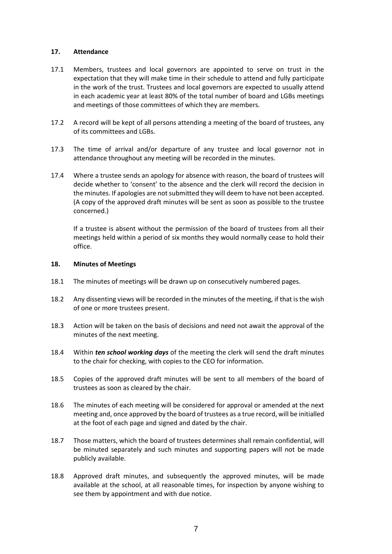### **17. Attendance**

- 17.1 Members, trustees and local governors are appointed to serve on trust in the expectation that they will make time in their schedule to attend and fully participate in the work of the trust. Trustees and local governors are expected to usually attend in each academic year at least 80% of the total number of board and LGBs meetings and meetings of those committees of which they are members.
- 17.2 A record will be kept of all persons attending a meeting of the board of trustees, any of its committees and LGBs.
- 17.3 The time of arrival and/or departure of any trustee and local governor not in attendance throughout any meeting will be recorded in the minutes.
- 17.4 Where a trustee sends an apology for absence with reason, the board of trustees will decide whether to 'consent' to the absence and the clerk will record the decision in the minutes. If apologies are not submitted they will deem to have not been accepted. (A copy of the approved draft minutes will be sent as soon as possible to the trustee concerned.)

If a trustee is absent without the permission of the board of trustees from all their meetings held within a period of six months they would normally cease to hold their office.

#### **18. Minutes of Meetings**

- 18.1 The minutes of meetings will be drawn up on consecutively numbered pages.
- 18.2 Any dissenting views will be recorded in the minutes of the meeting, if that is the wish of one or more trustees present.
- 18.3 Action will be taken on the basis of decisions and need not await the approval of the minutes of the next meeting.
- 18.4 Within *ten school working days* of the meeting the clerk will send the draft minutes to the chair for checking, with copies to the CEO for information.
- 18.5 Copies of the approved draft minutes will be sent to all members of the board of trustees as soon as cleared by the chair.
- 18.6 The minutes of each meeting will be considered for approval or amended at the next meeting and, once approved by the board of trustees as a true record, will be initialled at the foot of each page and signed and dated by the chair.
- 18.7 Those matters, which the board of trustees determines shall remain confidential, will be minuted separately and such minutes and supporting papers will not be made publicly available.
- 18.8 Approved draft minutes, and subsequently the approved minutes, will be made available at the school, at all reasonable times, for inspection by anyone wishing to see them by appointment and with due notice.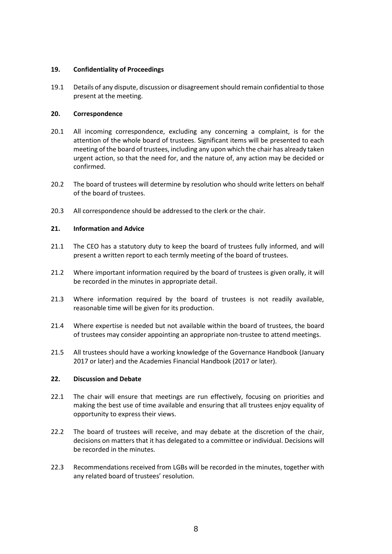# **19. Confidentiality of Proceedings**

19.1 Details of any dispute, discussion or disagreement should remain confidential to those present at the meeting.

# **20. Correspondence**

- 20.1 All incoming correspondence, excluding any concerning a complaint, is for the attention of the whole board of trustees. Significant items will be presented to each meeting of the board of trustees, including any upon which the chair has already taken urgent action, so that the need for, and the nature of, any action may be decided or confirmed.
- 20.2 The board of trustees will determine by resolution who should write letters on behalf of the board of trustees.
- 20.3 All correspondence should be addressed to the clerk or the chair.

# **21. Information and Advice**

- 21.1 The CEO has a statutory duty to keep the board of trustees fully informed, and will present a written report to each termly meeting of the board of trustees.
- 21.2 Where important information required by the board of trustees is given orally, it will be recorded in the minutes in appropriate detail.
- 21.3 Where information required by the board of trustees is not readily available, reasonable time will be given for its production.
- 21.4 Where expertise is needed but not available within the board of trustees, the board of trustees may consider appointing an appropriate non-trustee to attend meetings.
- 21.5 All trustees should have a working knowledge of the Governance Handbook (January 2017 or later) and the Academies Financial Handbook (2017 or later).

# **22. Discussion and Debate**

- 22.1 The chair will ensure that meetings are run effectively, focusing on priorities and making the best use of time available and ensuring that all trustees enjoy equality of opportunity to express their views.
- 22.2 The board of trustees will receive, and may debate at the discretion of the chair, decisions on matters that it has delegated to a committee or individual. Decisions will be recorded in the minutes.
- 22.3 Recommendations received from LGBs will be recorded in the minutes, together with any related board of trustees' resolution.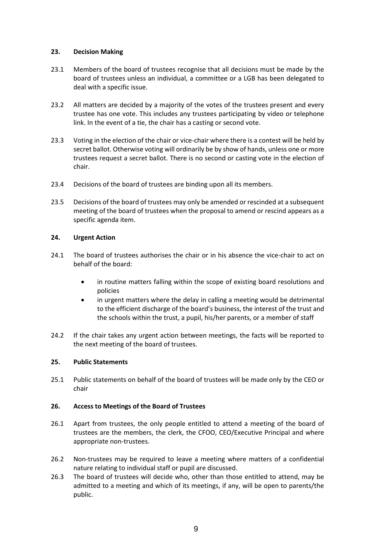### **23. Decision Making**

- 23.1 Members of the board of trustees recognise that all decisions must be made by the board of trustees unless an individual, a committee or a LGB has been delegated to deal with a specific issue.
- 23.2 All matters are decided by a majority of the votes of the trustees present and every trustee has one vote. This includes any trustees participating by video or telephone link. In the event of a tie, the chair has a casting or second vote.
- 23.3 Voting in the election of the chair or vice-chair where there is a contest will be held by secret ballot. Otherwise voting will ordinarily be by show of hands, unless one or more trustees request a secret ballot. There is no second or casting vote in the election of chair.
- 23.4 Decisions of the board of trustees are binding upon all its members.
- 23.5 Decisions of the board of trustees may only be amended or rescinded at a subsequent meeting of the board of trustees when the proposal to amend or rescind appears as a specific agenda item.

# **24. Urgent Action**

- 24.1 The board of trustees authorises the chair or in his absence the vice-chair to act on behalf of the board:
	- in routine matters falling within the scope of existing board resolutions and policies
	- in urgent matters where the delay in calling a meeting would be detrimental to the efficient discharge of the board's business, the interest of the trust and the schools within the trust, a pupil, his/her parents, or a member of staff
- 24.2 If the chair takes any urgent action between meetings, the facts will be reported to the next meeting of the board of trustees.

# **25. Public Statements**

25.1 Public statements on behalf of the board of trustees will be made only by the CEO or chair

### **26. Access to Meetings of the Board of Trustees**

- 26.1 Apart from trustees, the only people entitled to attend a meeting of the board of trustees are the members, the clerk, the CFOO, CEO/Executive Principal and where appropriate non-trustees.
- 26.2 Non-trustees may be required to leave a meeting where matters of a confidential nature relating to individual staff or pupil are discussed.
- 26.3 The board of trustees will decide who, other than those entitled to attend, may be admitted to a meeting and which of its meetings, if any, will be open to parents/the public.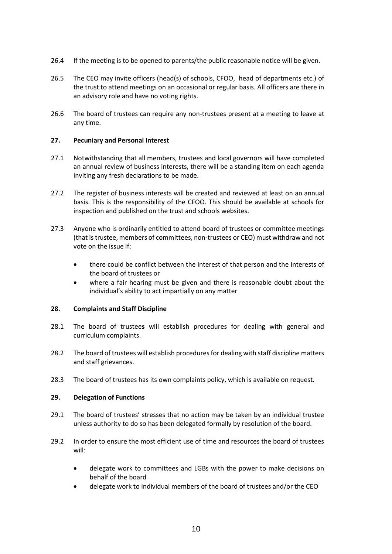- 26.4 If the meeting is to be opened to parents/the public reasonable notice will be given.
- 26.5 The CEO may invite officers (head(s) of schools, CFOO, head of departments etc.) of the trust to attend meetings on an occasional or regular basis. All officers are there in an advisory role and have no voting rights.
- 26.6 The board of trustees can require any non-trustees present at a meeting to leave at any time.

### **27. Pecuniary and Personal Interest**

- 27.1 Notwithstanding that all members, trustees and local governors will have completed an annual review of business interests, there will be a standing item on each agenda inviting any fresh declarations to be made.
- 27.2 The register of business interests will be created and reviewed at least on an annual basis. This is the responsibility of the CFOO. This should be available at schools for inspection and published on the trust and schools websites.
- 27.3 Anyone who is ordinarily entitled to attend board of trustees or committee meetings (that is trustee, members of committees, non-trustees or CEO) must withdraw and not vote on the issue if:
	- there could be conflict between the interest of that person and the interests of the board of trustees or
	- where a fair hearing must be given and there is reasonable doubt about the individual's ability to act impartially on any matter

### **28. Complaints and Staff Discipline**

- 28.1 The board of trustee**s** will establish procedures for dealing with general and curriculum complaints.
- 28.2 The board of trustees will establish procedures for dealing with staff discipline matters and staff grievances.
- 28.3 The board of trustees has its own complaints policy, which is available on request.

# **29. Delegation of Functions**

- 29.1 The board of trustees' stresses that no action may be taken by an individual trustee unless authority to do so has been delegated formally by resolution of the board.
- 29.2 In order to ensure the most efficient use of time and resources the board of trustees will:
	- delegate work to committees and LGBs with the power to make decisions on behalf of the board
	- delegate work to individual members of the board of trustees and/or the CEO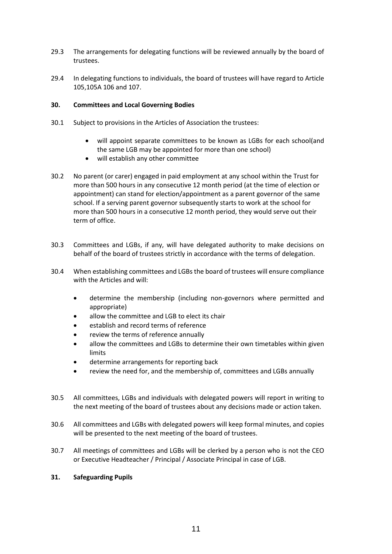- 29.3 The arrangements for delegating functions will be reviewed annually by the board of trustees.
- 29.4 In delegating functions to individuals, the board of trustees will have regard to Article 105,105A 106 and 107.

### **30. Committees and Local Governing Bodies**

- 30.1 Subject to provisions in the Articles of Association the trustees:
	- will appoint separate committees to be known as LGBs for each school(and the same LGB may be appointed for more than one school)
	- will establish any other committee
- 30.2 No parent (or carer) engaged in paid employment at any school within the Trust for more than 500 hours in any consecutive 12 month period (at the time of election or appointment) can stand for election/appointment as a parent governor of the same school. If a serving parent governor subsequently starts to work at the school for more than 500 hours in a consecutive 12 month period, they would serve out their term of office.
- 30.3 Committees and LGBs, if any, will have delegated authority to make decisions on behalf of the board of trustees strictly in accordance with the terms of delegation.
- 30.4 When establishing committees and LGBsthe board of trustees will ensure compliance with the Articles and will:
	- determine the membership (including non-governors where permitted and appropriate)
	- allow the committee and LGB to elect its chair
	- establish and record terms of reference
	- review the terms of reference annually
	- allow the committees and LGBs to determine their own timetables within given limits
	- determine arrangements for reporting back
	- review the need for, and the membership of, committees and LGBs annually
- 30.5 All committees, LGBs and individuals with delegated powers will report in writing to the next meeting of the board of trustees about any decisions made or action taken.
- 30.6 All committees and LGBs with delegated powers will keep formal minutes, and copies will be presented to the next meeting of the board of trustees.
- 30.7 All meetings of committees and LGBs will be clerked by a person who is not the CEO or Executive Headteacher / Principal / Associate Principal in case of LGB.

### **31. Safeguarding Pupils**